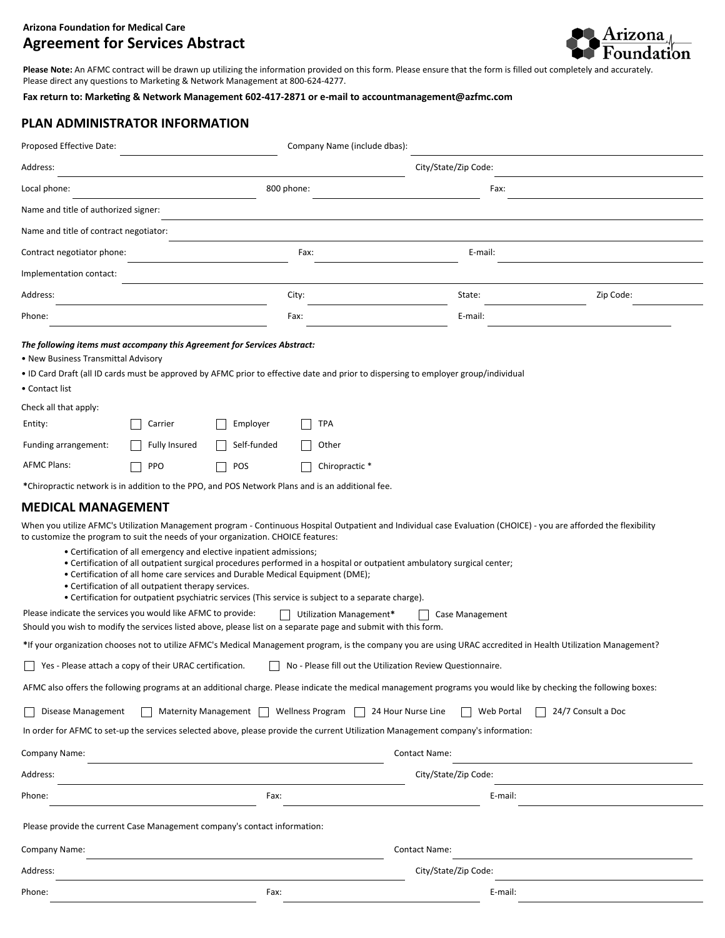## **Arizona Foundation for Medical Care Agreement for Services Abstract**



**Please Note:** An AFMC contract will be drawn up utilizing the information provided on this form. Please ensure that the form is filled out completely and accurately. Please direct any questions to Marketing & Network Management at 800-624-4277.

Fax return to: Marketing & Network Management 602-417-2871 or e-mail to accountmanagement@azfmc.com

## **PLAN ADMINISTRATOR INFORMATION**

| Proposed Effective Date:                                                                                                                                                                                                                                                                                                                                                                                                                                                                                                                                                                                                                                                                                                                                                                                                                                                                                                                  |                      |                                         |                      | Company Name (include dbas): |                      |            |                    |  |
|-------------------------------------------------------------------------------------------------------------------------------------------------------------------------------------------------------------------------------------------------------------------------------------------------------------------------------------------------------------------------------------------------------------------------------------------------------------------------------------------------------------------------------------------------------------------------------------------------------------------------------------------------------------------------------------------------------------------------------------------------------------------------------------------------------------------------------------------------------------------------------------------------------------------------------------------|----------------------|-----------------------------------------|----------------------|------------------------------|----------------------|------------|--------------------|--|
| Address:                                                                                                                                                                                                                                                                                                                                                                                                                                                                                                                                                                                                                                                                                                                                                                                                                                                                                                                                  |                      |                                         |                      | City/State/Zip Code:         |                      |            |                    |  |
| Local phone:                                                                                                                                                                                                                                                                                                                                                                                                                                                                                                                                                                                                                                                                                                                                                                                                                                                                                                                              |                      |                                         | 800 phone:           |                              |                      | Fax:       |                    |  |
| Name and title of authorized signer:                                                                                                                                                                                                                                                                                                                                                                                                                                                                                                                                                                                                                                                                                                                                                                                                                                                                                                      |                      |                                         |                      |                              |                      |            |                    |  |
| Name and title of contract negotiator:                                                                                                                                                                                                                                                                                                                                                                                                                                                                                                                                                                                                                                                                                                                                                                                                                                                                                                    |                      |                                         |                      |                              |                      |            |                    |  |
| Contract negotiator phone:                                                                                                                                                                                                                                                                                                                                                                                                                                                                                                                                                                                                                                                                                                                                                                                                                                                                                                                |                      |                                         | Fax:                 |                              | E-mail:              |            |                    |  |
| Implementation contact:                                                                                                                                                                                                                                                                                                                                                                                                                                                                                                                                                                                                                                                                                                                                                                                                                                                                                                                   |                      |                                         |                      |                              |                      |            |                    |  |
| Address:                                                                                                                                                                                                                                                                                                                                                                                                                                                                                                                                                                                                                                                                                                                                                                                                                                                                                                                                  |                      |                                         | City:                |                              | State:               |            | Zip Code:          |  |
| Phone:                                                                                                                                                                                                                                                                                                                                                                                                                                                                                                                                                                                                                                                                                                                                                                                                                                                                                                                                    |                      |                                         | Fax:                 |                              | E-mail:              |            |                    |  |
| The following items must accompany this Agreement for Services Abstract:<br>• New Business Transmittal Advisory<br>• ID Card Draft (all ID cards must be approved by AFMC prior to effective date and prior to dispersing to employer group/individual<br>• Contact list                                                                                                                                                                                                                                                                                                                                                                                                                                                                                                                                                                                                                                                                  |                      |                                         |                      |                              |                      |            |                    |  |
| Check all that apply:<br>Entity:                                                                                                                                                                                                                                                                                                                                                                                                                                                                                                                                                                                                                                                                                                                                                                                                                                                                                                          | Carrier              | Employer                                |                      | <b>TPA</b>                   |                      |            |                    |  |
| Funding arrangement:                                                                                                                                                                                                                                                                                                                                                                                                                                                                                                                                                                                                                                                                                                                                                                                                                                                                                                                      | <b>Fully Insured</b> | Self-funded                             |                      | Other                        |                      |            |                    |  |
| <b>AFMC Plans:</b>                                                                                                                                                                                                                                                                                                                                                                                                                                                                                                                                                                                                                                                                                                                                                                                                                                                                                                                        | <b>PPO</b>           | POS                                     |                      | Chiropractic *               |                      |            |                    |  |
| *Chiropractic network is in addition to the PPO, and POS Network Plans and is an additional fee.                                                                                                                                                                                                                                                                                                                                                                                                                                                                                                                                                                                                                                                                                                                                                                                                                                          |                      |                                         |                      |                              |                      |            |                    |  |
| <b>MEDICAL MANAGEMENT</b>                                                                                                                                                                                                                                                                                                                                                                                                                                                                                                                                                                                                                                                                                                                                                                                                                                                                                                                 |                      |                                         |                      |                              |                      |            |                    |  |
| When you utilize AFMC's Utilization Management program - Continuous Hospital Outpatient and Individual case Evaluation (CHOICE) - you are afforded the flexibility<br>to customize the program to suit the needs of your organization. CHOICE features:<br>• Certification of all emergency and elective inpatient admissions;<br>• Certification of all outpatient surgical procedures performed in a hospital or outpatient ambulatory surgical center;<br>• Certification of all home care services and Durable Medical Equipment (DME);<br>• Certification of all outpatient therapy services.<br>• Certification for outpatient psychiatric services (This service is subject to a separate charge).<br>Please indicate the services you would like AFMC to provide:<br>Utilization Management*<br>Case Management<br>Should you wish to modify the services listed above, please list on a separate page and submit with this form. |                      |                                         |                      |                              |                      |            |                    |  |
| *If your organization chooses not to utilize AFMC's Medical Management program, is the company you are using URAC accredited in Health Utilization Management?                                                                                                                                                                                                                                                                                                                                                                                                                                                                                                                                                                                                                                                                                                                                                                            |                      |                                         |                      |                              |                      |            |                    |  |
| □ Yes - Please attach a copy of their URAC certification. □ No - Please fill out the Utilization Review Questionnaire.                                                                                                                                                                                                                                                                                                                                                                                                                                                                                                                                                                                                                                                                                                                                                                                                                    |                      |                                         |                      |                              |                      |            |                    |  |
| AFMC also offers the following programs at an additional charge. Please indicate the medical management programs you would like by checking the following boxes:                                                                                                                                                                                                                                                                                                                                                                                                                                                                                                                                                                                                                                                                                                                                                                          |                      |                                         |                      |                              |                      |            |                    |  |
| Disease Management<br>In order for AFMC to set-up the services selected above, please provide the current Utilization Management company's information:                                                                                                                                                                                                                                                                                                                                                                                                                                                                                                                                                                                                                                                                                                                                                                                   |                      | Maternity Management   Wellness Program |                      | 24 Hour Nurse Line           |                      | Web Portal | 24/7 Consult a Doc |  |
|                                                                                                                                                                                                                                                                                                                                                                                                                                                                                                                                                                                                                                                                                                                                                                                                                                                                                                                                           |                      |                                         |                      |                              |                      |            |                    |  |
| Company Name:                                                                                                                                                                                                                                                                                                                                                                                                                                                                                                                                                                                                                                                                                                                                                                                                                                                                                                                             |                      |                                         |                      |                              | <b>Contact Name:</b> |            |                    |  |
| Address:                                                                                                                                                                                                                                                                                                                                                                                                                                                                                                                                                                                                                                                                                                                                                                                                                                                                                                                                  |                      |                                         |                      |                              | City/State/Zip Code: |            |                    |  |
| Phone:                                                                                                                                                                                                                                                                                                                                                                                                                                                                                                                                                                                                                                                                                                                                                                                                                                                                                                                                    |                      | Fax:                                    |                      |                              |                      | E-mail:    |                    |  |
| Please provide the current Case Management company's contact information:                                                                                                                                                                                                                                                                                                                                                                                                                                                                                                                                                                                                                                                                                                                                                                                                                                                                 |                      |                                         |                      |                              |                      |            |                    |  |
| Company Name:                                                                                                                                                                                                                                                                                                                                                                                                                                                                                                                                                                                                                                                                                                                                                                                                                                                                                                                             |                      |                                         |                      |                              | <b>Contact Name:</b> |            |                    |  |
| Address:                                                                                                                                                                                                                                                                                                                                                                                                                                                                                                                                                                                                                                                                                                                                                                                                                                                                                                                                  |                      |                                         | City/State/Zip Code: |                              |                      |            |                    |  |
| Phone:                                                                                                                                                                                                                                                                                                                                                                                                                                                                                                                                                                                                                                                                                                                                                                                                                                                                                                                                    |                      | Fax:                                    |                      |                              |                      | E-mail:    |                    |  |